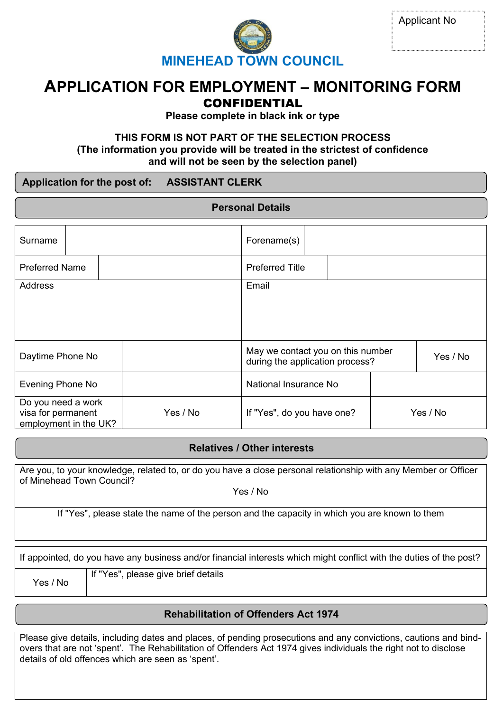

**MINEHEAD TOWN COUNCIL**

# **APPLICATION FOR EMPLOYMENT – MONITORING FORM**

# CONFIDENTIAL

**Please complete in black ink or type**

## **THIS FORM IS NOT PART OF THE SELECTION PROCESS (The information you provide will be treated in the strictest of confidence and will not be seen by the selection panel)**

## **Application for the post of: ASSISTANT CLERK**

| <b>Personal Details</b>                                           |  |  |                                                                      |                            |          |          |  |
|-------------------------------------------------------------------|--|--|----------------------------------------------------------------------|----------------------------|----------|----------|--|
|                                                                   |  |  |                                                                      |                            |          |          |  |
| Surname                                                           |  |  | Forename(s)                                                          |                            |          |          |  |
| <b>Preferred Name</b>                                             |  |  | <b>Preferred Title</b>                                               |                            |          |          |  |
| Address                                                           |  |  |                                                                      | Email                      |          |          |  |
|                                                                   |  |  |                                                                      |                            |          |          |  |
| Daytime Phone No                                                  |  |  | May we contact you on this number<br>during the application process? |                            | Yes / No |          |  |
| Evening Phone No                                                  |  |  | National Insurance No                                                |                            |          |          |  |
| Do you need a work<br>visa for permanent<br>employment in the UK? |  |  | Yes / No                                                             | If "Yes", do you have one? |          | Yes / No |  |

## **Relatives / Other interests**

Are you, to your knowledge, related to, or do you have a close personal relationship with any Member or Officer of Minehead Town Council?

Yes / No

If "Yes", please state the name of the person and the capacity in which you are known to them

If appointed, do you have any business and/or financial interests which might conflict with the duties of the post?

Yes / No

If "Yes", please give brief details

## **Rehabilitation of Offenders Act 1974**

Please give details, including dates and places, of pending prosecutions and any convictions, cautions and bindovers that are not 'spent'. The Rehabilitation of Offenders Act 1974 gives individuals the right not to disclose details of old offences which are seen as 'spent'.